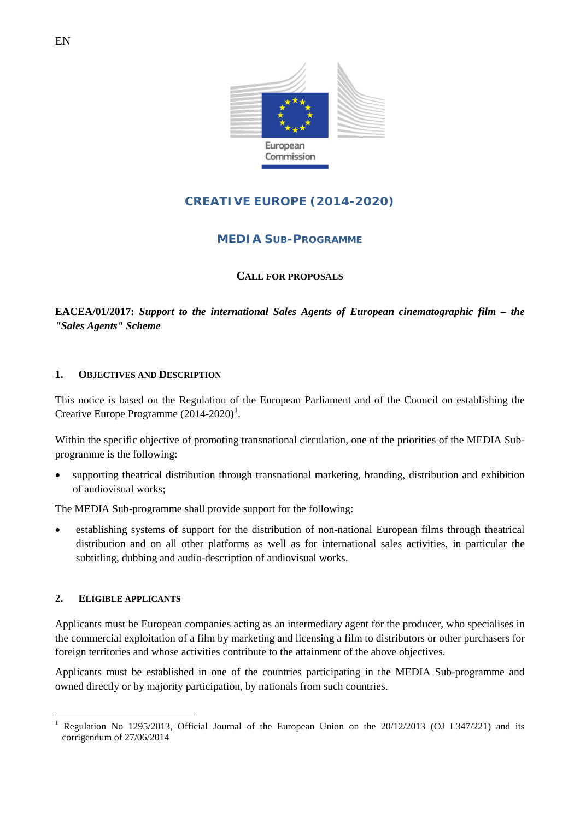

# **CREATIVE EUROPE (2014-2020)**

# **MEDIA SUB-PROGRAMME**

### **CALL FOR PROPOSALS**

**EACEA/01/2017:** *Support to the international Sales Agents of European cinematographic film – the "Sales Agents" Scheme*

#### **1. OBJECTIVES AND DESCRIPTION**

This notice is based on the Regulation of the European Parliament and of the Council on establishing the Creative Europe Programme  $(2014-2020)^1$  $(2014-2020)^1$  $(2014-2020)^1$ .

Within the specific objective of promoting transnational circulation, one of the priorities of the MEDIA Subprogramme is the following:

• supporting theatrical distribution through transnational marketing, branding, distribution and exhibition of audiovisual works;

The MEDIA Sub-programme shall provide support for the following:

• establishing systems of support for the distribution of non-national European films through theatrical distribution and on all other platforms as well as for international sales activities, in particular the subtitling, dubbing and audio-description of audiovisual works.

### **2. ELIGIBLE APPLICANTS**

Applicants must be European companies acting as an intermediary agent for the producer, who specialises in the commercial exploitation of a film by marketing and licensing a film to distributors or other purchasers for foreign territories and whose activities contribute to the attainment of the above objectives.

Applicants must be established in one of the countries participating in the MEDIA Sub-programme and owned directly or by majority participation, by nationals from such countries.

<span id="page-0-0"></span>Regulation No 1295/2013, Official Journal of the European Union on the 20/12/2013 (OJ L347/221) and its corrigendum of 27/06/2014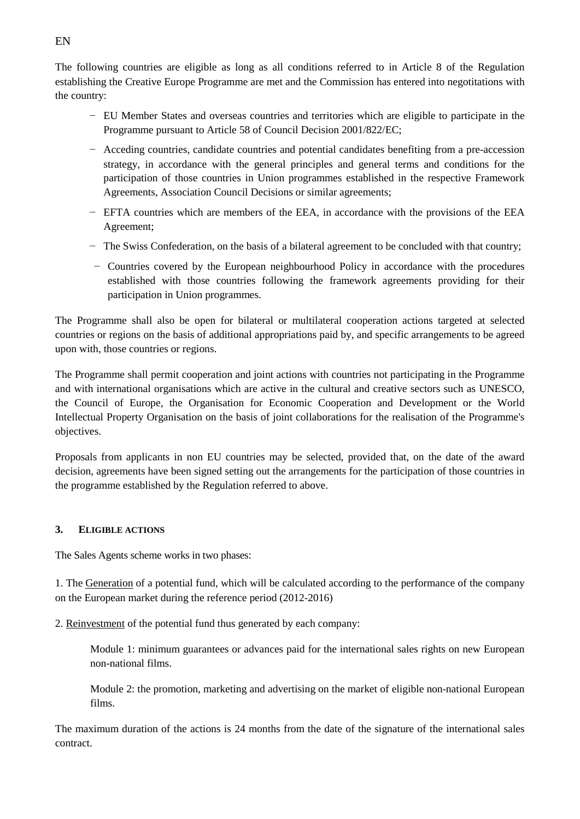The following countries are eligible as long as all conditions referred to in Article 8 of the Regulation establishing the Creative Europe Programme are met and the Commission has entered into negotitations with the country:

- − EU Member States and overseas countries and territories which are eligible to participate in the Programme pursuant to Article 58 of Council Decision 2001/822/EC;
- − Acceding countries, candidate countries and potential candidates benefiting from a pre-accession strategy, in accordance with the general principles and general terms and conditions for the participation of those countries in Union programmes established in the respective Framework Agreements, Association Council Decisions or similar agreements;
- − EFTA countries which are members of the EEA, in accordance with the provisions of the EEA Agreement;
- − The Swiss Confederation, on the basis of a bilateral agreement to be concluded with that country;
- − Countries covered by the European neighbourhood Policy in accordance with the procedures established with those countries following the framework agreements providing for their participation in Union programmes.

The Programme shall also be open for bilateral or multilateral cooperation actions targeted at selected countries or regions on the basis of additional appropriations paid by, and specific arrangements to be agreed upon with, those countries or regions.

The Programme shall permit cooperation and joint actions with countries not participating in the Programme and with international organisations which are active in the cultural and creative sectors such as UNESCO, the Council of Europe, the Organisation for Economic Cooperation and Development or the World Intellectual Property Organisation on the basis of joint collaborations for the realisation of the Programme's objectives.

Proposals from applicants in non EU countries may be selected, provided that, on the date of the award decision, agreements have been signed setting out the arrangements for the participation of those countries in the programme established by the Regulation referred to above.

### **3. ELIGIBLE ACTIONS**

The Sales Agents scheme works in two phases:

1. The Generation of a potential fund, which will be calculated according to the performance of the company on the European market during the reference period (2012-2016)

2. Reinvestment of the potential fund thus generated by each company:

Module 1: minimum guarantees or advances paid for the international sales rights on new European non-national films.

Module 2: the promotion, marketing and advertising on the market of eligible non-national European films.

The maximum duration of the actions is 24 months from the date of the signature of the international sales contract.